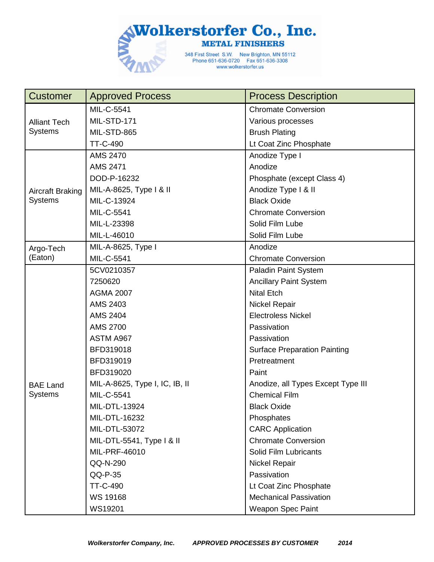

| <b>Customer</b>                       | <b>Approved Process</b>        | <b>Process Description</b>          |
|---------------------------------------|--------------------------------|-------------------------------------|
| <b>Alliant Tech</b><br><b>Systems</b> | MIL-C-5541                     | <b>Chromate Conversion</b>          |
|                                       | MIL-STD-171                    | Various processes                   |
|                                       | MIL-STD-865                    | <b>Brush Plating</b>                |
|                                       | TT-C-490                       | Lt Coat Zinc Phosphate              |
|                                       | <b>AMS 2470</b>                | Anodize Type I                      |
|                                       | <b>AMS 2471</b>                | Anodize                             |
|                                       | DOD-P-16232                    | Phosphate (except Class 4)          |
| Aircraft Braking                      | MIL-A-8625, Type I & II        | Anodize Type I & II                 |
| <b>Systems</b>                        | MIL-C-13924                    | <b>Black Oxide</b>                  |
|                                       | MIL-C-5541                     | <b>Chromate Conversion</b>          |
|                                       | MIL-L-23398                    | Solid Film Lube                     |
|                                       | MIL-L-46010                    | Solid Film Lube                     |
| Argo-Tech                             | MIL-A-8625, Type I             | Anodize                             |
| (Eaton)                               | MIL-C-5541                     | <b>Chromate Conversion</b>          |
|                                       | 5CV0210357                     | <b>Paladin Paint System</b>         |
|                                       | 7250620                        | <b>Ancillary Paint System</b>       |
|                                       | <b>AGMA 2007</b>               | <b>Nital Etch</b>                   |
|                                       | AMS 2403                       | <b>Nickel Repair</b>                |
|                                       | <b>AMS 2404</b>                | <b>Electroless Nickel</b>           |
|                                       | AMS 2700                       | Passivation                         |
|                                       | ASTM A967                      | Passivation                         |
|                                       | BFD319018                      | <b>Surface Preparation Painting</b> |
|                                       | BFD319019                      | Pretreatment                        |
|                                       | BFD319020                      | Paint                               |
| <b>BAE Land</b>                       | MIL-A-8625, Type I, IC, IB, II | Anodize, all Types Except Type III  |
| <b>Systems</b>                        | MIL-C-5541                     | <b>Chemical Film</b>                |
|                                       | MIL-DTL-13924                  | <b>Black Oxide</b>                  |
|                                       | MIL-DTL-16232                  | Phosphates                          |
|                                       | MIL-DTL-53072                  | <b>CARC</b> Application             |
|                                       | MIL-DTL-5541, Type I & II      | <b>Chromate Conversion</b>          |
|                                       | MIL-PRF-46010                  | Solid Film Lubricants               |
|                                       | QQ-N-290                       | <b>Nickel Repair</b>                |
|                                       | $QQ-P-35$                      | Passivation                         |
|                                       | TT-C-490                       | Lt Coat Zinc Phosphate              |
|                                       | WS 19168                       | <b>Mechanical Passivation</b>       |
|                                       | WS19201                        | <b>Weapon Spec Paint</b>            |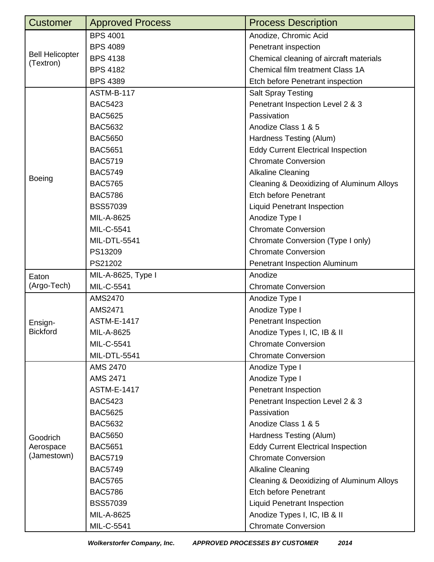| <b>Customer</b>                     | <b>Approved Process</b> | <b>Process Description</b>                |
|-------------------------------------|-------------------------|-------------------------------------------|
| <b>Bell Helicopter</b><br>(Textron) | <b>BPS 4001</b>         | Anodize, Chromic Acid                     |
|                                     | <b>BPS 4089</b>         | Penetrant inspection                      |
|                                     | <b>BPS 4138</b>         | Chemical cleaning of aircraft materials   |
|                                     | <b>BPS 4182</b>         | Chemical film treatment Class 1A          |
|                                     | <b>BPS 4389</b>         | Etch before Penetrant inspection          |
|                                     | <b>ASTM-B-117</b>       | <b>Salt Spray Testing</b>                 |
|                                     | <b>BAC5423</b>          | Penetrant Inspection Level 2 & 3          |
|                                     | <b>BAC5625</b>          | Passivation                               |
|                                     | <b>BAC5632</b>          | Anodize Class 1 & 5                       |
|                                     | <b>BAC5650</b>          | Hardness Testing (Alum)                   |
|                                     | <b>BAC5651</b>          | <b>Eddy Current Electrical Inspection</b> |
|                                     | <b>BAC5719</b>          | <b>Chromate Conversion</b>                |
|                                     | <b>BAC5749</b>          | <b>Alkaline Cleaning</b>                  |
| Boeing                              | <b>BAC5765</b>          | Cleaning & Deoxidizing of Aluminum Alloys |
|                                     | <b>BAC5786</b>          | <b>Etch before Penetrant</b>              |
|                                     | <b>BSS57039</b>         | <b>Liquid Penetrant Inspection</b>        |
|                                     | MIL-A-8625              | Anodize Type I                            |
|                                     | MIL-C-5541              | <b>Chromate Conversion</b>                |
|                                     | MIL-DTL-5541            | Chromate Conversion (Type I only)         |
|                                     | PS13209                 | <b>Chromate Conversion</b>                |
|                                     | PS21202                 | Penetrant Inspection Aluminum             |
| Eaton                               | MIL-A-8625, Type I      | Anodize                                   |
| (Argo-Tech)                         | MIL-C-5541              | <b>Chromate Conversion</b>                |
|                                     | AMS2470                 | Anodize Type I                            |
|                                     | AMS2471                 | Anodize Type I                            |
| Ensign-                             | <b>ASTM-E-1417</b>      | Penetrant Inspection                      |
| <b>Bickford</b>                     | MIL-A-8625              | Anodize Types I, IC, IB & II              |
|                                     | MIL-C-5541              | <b>Chromate Conversion</b>                |
|                                     | MIL-DTL-5541            | <b>Chromate Conversion</b>                |
|                                     | AMS 2470                | Anodize Type I                            |
|                                     | <b>AMS 2471</b>         | Anodize Type I                            |
|                                     | <b>ASTM-E-1417</b>      | Penetrant Inspection                      |
|                                     | <b>BAC5423</b>          | Penetrant Inspection Level 2 & 3          |
|                                     | <b>BAC5625</b>          | Passivation                               |
|                                     | <b>BAC5632</b>          | Anodize Class 1 & 5                       |
| Goodrich                            | <b>BAC5650</b>          | Hardness Testing (Alum)                   |
| Aerospace                           | <b>BAC5651</b>          | <b>Eddy Current Electrical Inspection</b> |
| (Jamestown)                         | <b>BAC5719</b>          | <b>Chromate Conversion</b>                |
|                                     | <b>BAC5749</b>          | <b>Alkaline Cleaning</b>                  |
|                                     | <b>BAC5765</b>          | Cleaning & Deoxidizing of Aluminum Alloys |
|                                     | <b>BAC5786</b>          | <b>Etch before Penetrant</b>              |
|                                     | <b>BSS57039</b>         | <b>Liquid Penetrant Inspection</b>        |
|                                     | MIL-A-8625              | Anodize Types I, IC, IB & II              |
|                                     | MIL-C-5541              | <b>Chromate Conversion</b>                |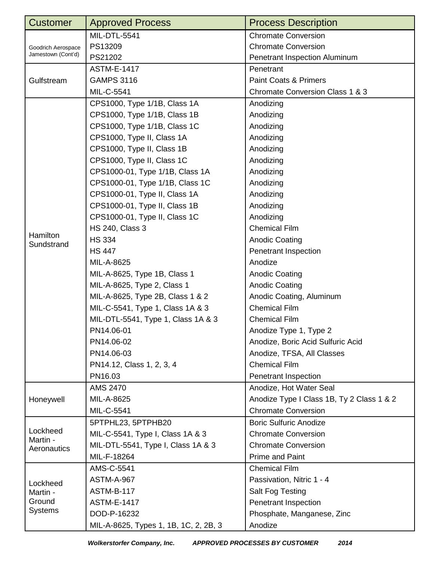| <b>Customer</b>                                  | <b>Approved Process</b>               | <b>Process Description</b>                |
|--------------------------------------------------|---------------------------------------|-------------------------------------------|
| Goodrich Aerospace<br>Jamestown (Cont'd)         | MIL-DTL-5541                          | <b>Chromate Conversion</b>                |
|                                                  | PS13209                               | <b>Chromate Conversion</b>                |
|                                                  | PS21202                               | Penetrant Inspection Aluminum             |
|                                                  | <b>ASTM-E-1417</b>                    | Penetrant                                 |
| Gulfstream                                       | <b>GAMPS 3116</b>                     | <b>Paint Coats &amp; Primers</b>          |
|                                                  | MIL-C-5541                            | Chromate Conversion Class 1 & 3           |
|                                                  | CPS1000, Type 1/1B, Class 1A          | Anodizing                                 |
|                                                  | CPS1000, Type 1/1B, Class 1B          | Anodizing                                 |
|                                                  | CPS1000, Type 1/1B, Class 1C          | Anodizing                                 |
|                                                  | CPS1000, Type II, Class 1A            | Anodizing                                 |
|                                                  | CPS1000, Type II, Class 1B            | Anodizing                                 |
|                                                  | CPS1000, Type II, Class 1C            | Anodizing                                 |
|                                                  | CPS1000-01, Type 1/1B, Class 1A       | Anodizing                                 |
|                                                  | CPS1000-01, Type 1/1B, Class 1C       | Anodizing                                 |
|                                                  | CPS1000-01, Type II, Class 1A         | Anodizing                                 |
|                                                  | CPS1000-01, Type II, Class 1B         | Anodizing                                 |
|                                                  | CPS1000-01, Type II, Class 1C         | Anodizing                                 |
|                                                  | <b>HS 240, Class 3</b>                | <b>Chemical Film</b>                      |
| Hamilton<br>Sundstrand                           | <b>HS 334</b>                         | <b>Anodic Coating</b>                     |
|                                                  | <b>HS 447</b>                         | Penetrant Inspection                      |
|                                                  | MIL-A-8625                            | Anodize                                   |
|                                                  | MIL-A-8625, Type 1B, Class 1          | <b>Anodic Coating</b>                     |
|                                                  | MIL-A-8625, Type 2, Class 1           | <b>Anodic Coating</b>                     |
|                                                  | MIL-A-8625, Type 2B, Class 1 & 2      | Anodic Coating, Aluminum                  |
|                                                  | MIL-C-5541, Type 1, Class 1A & 3      | <b>Chemical Film</b>                      |
|                                                  | MIL-DTL-5541, Type 1, Class 1A & 3    | <b>Chemical Film</b>                      |
|                                                  | PN14.06-01                            | Anodize Type 1, Type 2                    |
|                                                  | PN14.06-02                            | Anodize, Boric Acid Sulfuric Acid         |
|                                                  | PN14.06-03                            | Anodize, TFSA, All Classes                |
|                                                  | PN14.12, Class 1, 2, 3, 4             | <b>Chemical Film</b>                      |
|                                                  | PN16.03                               | Penetrant Inspection                      |
| Honeywell                                        | <b>AMS 2470</b>                       | Anodize, Hot Water Seal                   |
|                                                  | MIL-A-8625                            | Anodize Type I Class 1B, Ty 2 Class 1 & 2 |
|                                                  | MIL-C-5541                            | <b>Chromate Conversion</b>                |
|                                                  | 5PTPHL23, 5PTPHB20                    | <b>Boric Sulfuric Anodize</b>             |
| Lockheed                                         | MIL-C-5541, Type I, Class 1A & 3      | <b>Chromate Conversion</b>                |
| Martin -<br>Aeronautics                          | MIL-DTL-5541, Type I, Class 1A & 3    | <b>Chromate Conversion</b>                |
|                                                  | MIL-F-18264                           | Prime and Paint                           |
| Lockheed<br>Martin -<br>Ground<br><b>Systems</b> | AMS-C-5541                            | <b>Chemical Film</b>                      |
|                                                  | <b>ASTM-A-967</b>                     | Passivation, Nitric 1 - 4                 |
|                                                  | <b>ASTM-B-117</b>                     | Salt Fog Testing                          |
|                                                  | <b>ASTM-E-1417</b>                    | <b>Penetrant Inspection</b>               |
|                                                  | DOD-P-16232                           | Phosphate, Manganese, Zinc                |
|                                                  | MIL-A-8625, Types 1, 1B, 1C, 2, 2B, 3 | Anodize                                   |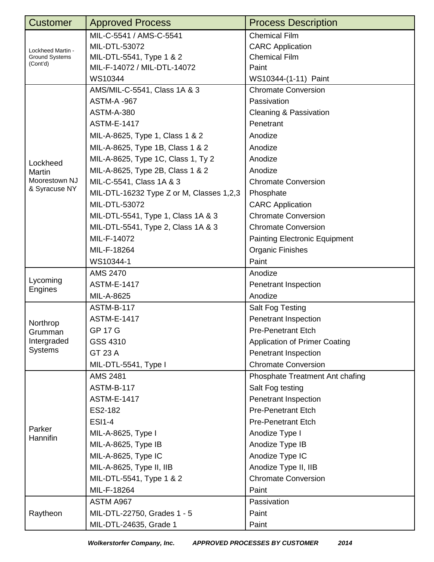| <b>Customer</b>                                        | <b>Approved Process</b>                  | <b>Process Description</b>           |
|--------------------------------------------------------|------------------------------------------|--------------------------------------|
| Lockheed Martin -<br><b>Ground Systems</b><br>(Cont'd) | MIL-C-5541 / AMS-C-5541                  | <b>Chemical Film</b>                 |
|                                                        | MIL-DTL-53072                            | <b>CARC</b> Application              |
|                                                        | MIL-DTL-5541, Type 1 & 2                 | <b>Chemical Film</b>                 |
|                                                        | MIL-F-14072 / MIL-DTL-14072              | Paint                                |
|                                                        | WS10344                                  | WS10344-(1-11) Paint                 |
|                                                        | AMS/MIL-C-5541, Class 1A & 3             | <b>Chromate Conversion</b>           |
|                                                        | <b>ASTM-A-967</b>                        | Passivation                          |
|                                                        | <b>ASTM-A-380</b>                        | <b>Cleaning &amp; Passivation</b>    |
|                                                        | <b>ASTM-E-1417</b>                       | Penetrant                            |
|                                                        | MIL-A-8625, Type 1, Class 1 & 2          | Anodize                              |
|                                                        | MIL-A-8625, Type 1B, Class 1 & 2         | Anodize                              |
| Lockheed                                               | MIL-A-8625, Type 1C, Class 1, Ty 2       | Anodize                              |
| Martin                                                 | MIL-A-8625, Type 2B, Class 1 & 2         | Anodize                              |
| Moorestown NJ                                          | MIL-C-5541, Class 1A & 3                 | <b>Chromate Conversion</b>           |
| & Syracuse NY                                          | MIL-DTL-16232 Type Z or M, Classes 1,2,3 | Phosphate                            |
|                                                        | MIL-DTL-53072                            | <b>CARC</b> Application              |
|                                                        | MIL-DTL-5541, Type 1, Class 1A & 3       | <b>Chromate Conversion</b>           |
|                                                        | MIL-DTL-5541, Type 2, Class 1A & 3       | <b>Chromate Conversion</b>           |
|                                                        | MIL-F-14072                              | <b>Painting Electronic Equipment</b> |
|                                                        | MIL-F-18264                              | <b>Organic Finishes</b>              |
|                                                        | WS10344-1                                | Paint                                |
|                                                        | <b>AMS 2470</b>                          | Anodize                              |
| Lycoming<br><b>Engines</b>                             | <b>ASTM-E-1417</b>                       | Penetrant Inspection                 |
|                                                        | MIL-A-8625                               | Anodize                              |
|                                                        | <b>ASTM-B-117</b>                        | Salt Fog Testing                     |
| Northrop                                               | <b>ASTM-E-1417</b>                       | Penetrant Inspection                 |
| Grumman                                                | GP 17 G                                  | <b>Pre-Penetrant Etch</b>            |
| Intergraded                                            | GSS 4310                                 | <b>Application of Primer Coating</b> |
| <b>Systems</b>                                         | GT 23 A                                  | Penetrant Inspection                 |
|                                                        | MIL-DTL-5541, Type I                     | <b>Chromate Conversion</b>           |
|                                                        | <b>AMS 2481</b>                          | Phosphate Treatment Ant chafing      |
|                                                        | <b>ASTM-B-117</b>                        | Salt Fog testing                     |
|                                                        | <b>ASTM-E-1417</b>                       | Penetrant Inspection                 |
|                                                        | ES2-182                                  | <b>Pre-Penetrant Etch</b>            |
|                                                        | <b>ESI1-4</b>                            | <b>Pre-Penetrant Etch</b>            |
| Parker<br>Hannifin                                     | MIL-A-8625, Type I                       | Anodize Type I                       |
|                                                        | MIL-A-8625, Type IB                      | Anodize Type IB                      |
|                                                        | MIL-A-8625, Type IC                      | Anodize Type IC                      |
|                                                        | MIL-A-8625, Type II, IIB                 | Anodize Type II, IIB                 |
|                                                        | MIL-DTL-5541, Type 1 & 2                 | <b>Chromate Conversion</b>           |
|                                                        | MIL-F-18264                              | Paint                                |
| Raytheon                                               | ASTM A967                                | Passivation                          |
|                                                        | MIL-DTL-22750, Grades 1 - 5              | Paint                                |
|                                                        | MIL-DTL-24635, Grade 1                   | Paint                                |